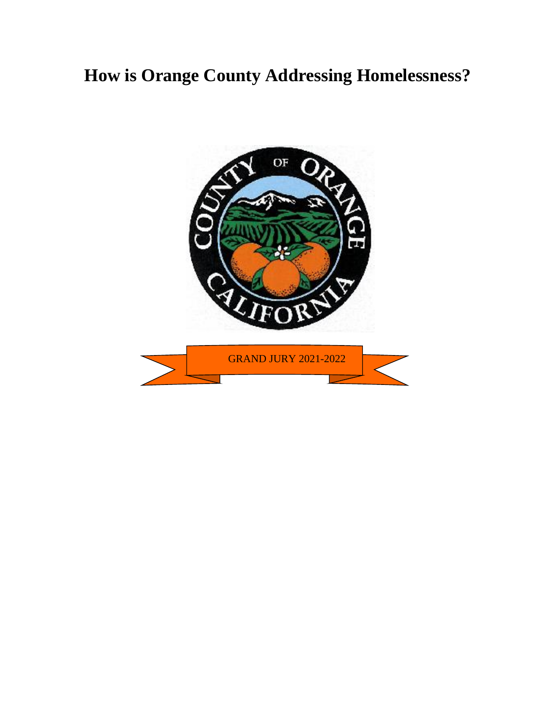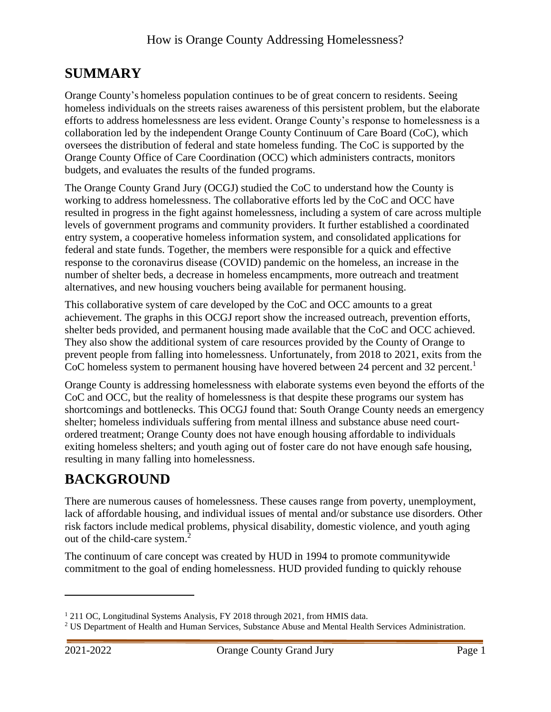## <span id="page-2-0"></span>**SUMMARY**

Orange County's homeless population continues to be of great concern to residents. Seeing homeless individuals on the streets raises awareness of this persistent problem, but the elaborate efforts to address homelessness are less evident. Orange County's response to homelessness is a collaboration led by the independent Orange County Continuum of Care Board (CoC), which oversees the distribution of federal and state homeless funding. The CoC is supported by the Orange County Office of Care Coordination (OCC) which administers contracts, monitors budgets, and evaluates the results of the funded programs.

The Orange County Grand Jury (OCGJ) studied the CoC to understand how the County is working to address homelessness. The collaborative efforts led by the CoC and OCC have resulted in progress in the fight against homelessness, including a system of care across multiple levels of government programs and community providers. It further established a coordinated entry system, a cooperative homeless information system, and consolidated applications for federal and state funds. Together, the members were responsible for a quick and effective response to the coronavirus disease (COVID) pandemic on the homeless, an increase in the number of shelter beds, a decrease in homeless encampments, more outreach and treatment alternatives, and new housing vouchers being available for permanent housing.

This collaborative system of care developed by the CoC and OCC amounts to a great achievement. The graphs in this OCGJ report show the increased outreach, prevention efforts, shelter beds provided, and permanent housing made available that the CoC and OCC achieved. They also show the additional system of care resources provided by the County of Orange to prevent people from falling into homelessness. Unfortunately, from 2018 to 2021, exits from the CoC homeless system to permanent housing have hovered between 24 percent and 32 percent.<sup>1</sup>

Orange County is addressing homelessness with elaborate systems even beyond the efforts of the CoC and OCC, but the reality of homelessness is that despite these programs our system has shortcomings and bottlenecks. This OCGJ found that: South Orange County needs an emergency shelter; homeless individuals suffering from mental illness and substance abuse need courtordered treatment; Orange County does not have enough housing affordable to individuals exiting homeless shelters; and youth aging out of foster care do not have enough safe housing, resulting in many falling into homelessness.

# <span id="page-2-1"></span>**BACKGROUND**

There are numerous causes of homelessness. These causes range from poverty, unemployment, lack of affordable housing, and individual issues of mental and/or substance use disorders. Other risk factors include medical problems, physical disability, domestic violence, and youth aging out of the child-care system.<sup>2</sup>

The continuum of care concept was created by HUD in 1994 to promote communitywide commitment to the goal of ending homelessness. HUD provided funding to quickly rehouse

<sup>1</sup> 211 OC, Longitudinal Systems Analysis*,* FY 2018 through 2021*,* from HMIS data.

<sup>&</sup>lt;sup>2</sup> US Department of Health and Human Services, Substance Abuse and Mental Health Services Administration.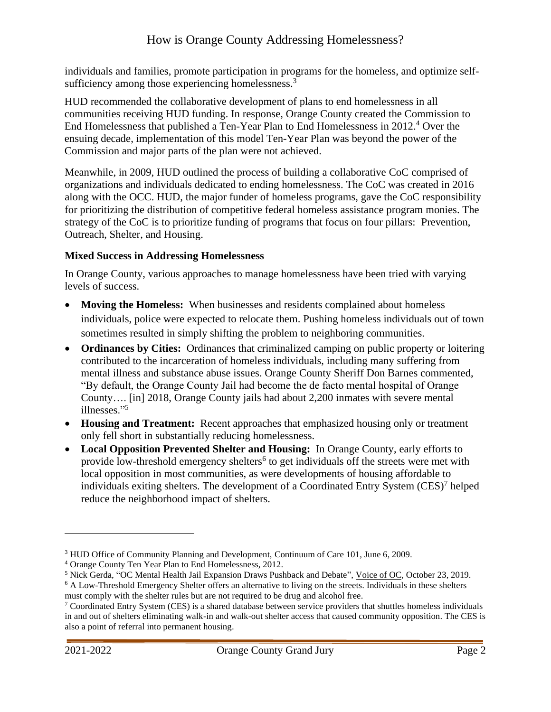individuals and families, promote participation in programs for the homeless, and optimize selfsufficiency among those experiencing homelessness.<sup>3</sup>

HUD recommended the collaborative development of plans to end homelessness in all communities receiving HUD funding. In response, Orange County created the Commission to End Homelessness that published a Ten-Year Plan to End Homelessness in 2012. <sup>4</sup> Over the ensuing decade, implementation of this model Ten-Year Plan was beyond the power of the Commission and major parts of the plan were not achieved.

Meanwhile, in 2009, HUD outlined the process of building a collaborative CoC comprised of organizations and individuals dedicated to ending homelessness. The CoC was created in 2016 along with the OCC. HUD, the major funder of homeless programs, gave the CoC responsibility for prioritizing the distribution of competitive federal homeless assistance program monies. The strategy of the CoC is to prioritize funding of programs that focus on four pillars: Prevention, Outreach, Shelter, and Housing.

### **Mixed Success in Addressing Homelessness**

In Orange County, various approaches to manage homelessness have been tried with varying levels of success.

- **Moving the Homeless:** When businesses and residents complained about homeless individuals, police were expected to relocate them. Pushing homeless individuals out of town sometimes resulted in simply shifting the problem to neighboring communities.
- **Ordinances by Cities:** Ordinances that criminalized camping on public property or loitering contributed to the incarceration of homeless individuals, including many suffering from mental illness and substance abuse issues. Orange County Sheriff Don Barnes commented, "By default, the Orange County Jail had become the de facto mental hospital of Orange County…. [in] 2018, Orange County jails had about 2,200 inmates with severe mental illnesses."<sup>5</sup>
- **Housing and Treatment:** Recent approaches that emphasized housing only or treatment only fell short in substantially reducing homelessness.
- **Local Opposition Prevented Shelter and Housing:** In Orange County, early efforts to provide low-threshold emergency shelters<sup>6</sup> to get individuals off the streets were met with local opposition in most communities, as were developments of housing affordable to individuals exiting shelters. The development of a Coordinated Entry System (CES)<sup>7</sup> helped reduce the neighborhood impact of shelters.

<sup>3</sup> HUD Office of Community Planning and Development, Continuum of Care 101*,* June 6, 2009.

<sup>4</sup> Orange County Ten Year Plan to End Homelessness, 2012.

<sup>5</sup> Nick Gerda, "OC Mental Health Jail Expansion Draws Pushback and Debate", Voice of OC, October 23, 2019.

<sup>6</sup> A Low-Threshold Emergency Shelter offers an alternative to living on the streets. Individuals in these shelters must comply with the shelter rules but are not required to be drug and alcohol free.

 $7$  Coordinated Entry System (CES) is a shared database between service providers that shuttles homeless individuals in and out of shelters eliminating walk-in and walk-out shelter access that caused community opposition. The CES is also a point of referral into permanent housing.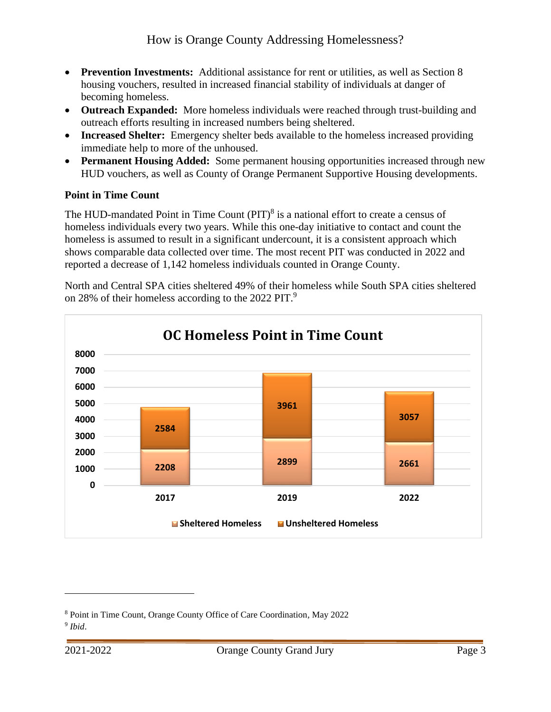- **Prevention Investments:** Additional assistance for rent or utilities, as well as Section 8 housing vouchers, resulted in increased financial stability of individuals at danger of becoming homeless.
- **Outreach Expanded:** More homeless individuals were reached through trust-building and outreach efforts resulting in increased numbers being sheltered.
- **Increased Shelter:** Emergency shelter beds available to the homeless increased providing immediate help to more of the unhoused.
- **Permanent Housing Added:** Some permanent housing opportunities increased through new HUD vouchers, as well as County of Orange Permanent Supportive Housing developments.

### **Point in Time Count**

The HUD-mandated Point in Time Count  $(PIT)^8$  is a national effort to create a census of homeless individuals every two years. While this one-day initiative to contact and count the homeless is assumed to result in a significant undercount, it is a consistent approach which shows comparable data collected over time. The most recent PIT was conducted in 2022 and reported a decrease of 1,142 homeless individuals counted in Orange County.

North and Central SPA cities sheltered 49% of their homeless while South SPA cities sheltered on 28% of their homeless according to the 2022 PIT.<sup>9</sup>



<sup>8</sup> Point in Time Count, Orange County Office of Care Coordination*,* May 2022 9 *Ibid*.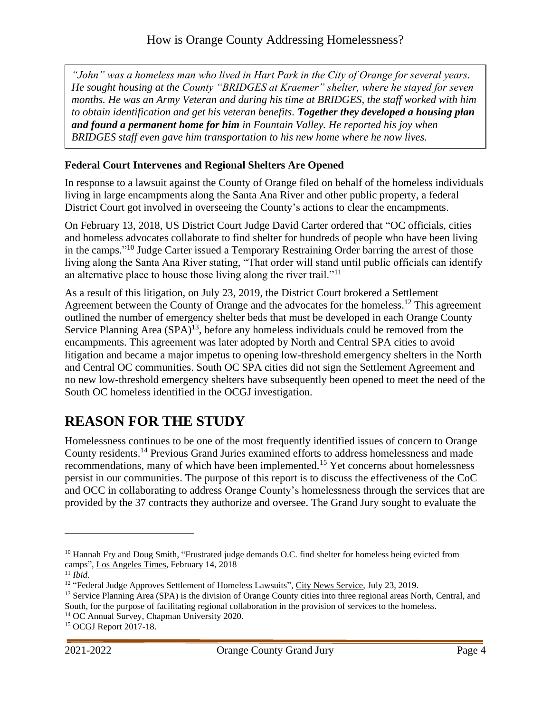*"John" was a homeless man who lived in Hart Park in the City of Orange for several years. He sought housing at the County "BRIDGES at Kraemer" shelter, where he stayed for seven months. He was an Army Veteran and during his time at BRIDGES, the staff worked with him to obtain identification and get his veteran benefits. Together they developed a housing plan and found a permanent home for him in Fountain Valley. He reported his joy when BRIDGES staff even gave him transportation to his new home where he now lives.*

#### **Federal Court Intervenes and Regional Shelters Are Opened**

In response to a lawsuit against the County of Orange filed on behalf of the homeless individuals living in large encampments along the Santa Ana River and other public property, a federal District Court got involved in overseeing the County's actions to clear the encampments.

On February 13, 2018, US District Court Judge David Carter ordered that "OC officials, cities and homeless advocates collaborate to find shelter for hundreds of people who have been living in the camps."<sup>10</sup> Judge Carter issued a Temporary Restraining Order barring the arrest of those living along the Santa Ana River stating, "That order will stand until public officials can identify an alternative place to house those living along the river trail."<sup>11</sup>

As a result of this litigation, on July 23, 2019, the District Court brokered a Settlement Agreement between the County of Orange and the advocates for the homeless.<sup>12</sup> This agreement outlined the number of emergency shelter beds that must be developed in each Orange County Service Planning Area  $(SPA)^{13}$ , before any homeless individuals could be removed from the encampments. This agreement was later adopted by North and Central SPA cities to avoid litigation and became a major impetus to opening low-threshold emergency shelters in the North and Central OC communities. South OC SPA cities did not sign the Settlement Agreement and no new low-threshold emergency shelters have subsequently been opened to meet the need of the South OC homeless identified in the OCGJ investigation.

### <span id="page-5-0"></span>**REASON FOR THE STUDY**

Homelessness continues to be one of the most frequently identified issues of concern to Orange County residents.<sup>14</sup> Previous Grand Juries examined efforts to address homelessness and made recommendations, many of which have been implemented.<sup>15</sup> Yet concerns about homelessness persist in our communities. The purpose of this report is to discuss the effectiveness of the CoC and OCC in collaborating to address Orange County's homelessness through the services that are provided by the 37 contracts they authorize and oversee. The Grand Jury sought to evaluate the

<sup>&</sup>lt;sup>10</sup> Hannah Fry and Doug Smith, "Frustrated judge demands O.C. find shelter for homeless being evicted from camps", Los Angeles Times, February 14, 2018

 $11$  *Ibid.* 

<sup>&</sup>lt;sup>12</sup> "Federal Judge Approves Settlement of Homeless Lawsuits", City News Service, July 23, 2019.

<sup>&</sup>lt;sup>13</sup> Service Planning Area (SPA) is the division of Orange County cities into three regional areas North, Central, and South, for the purpose of facilitating regional collaboration in the provision of services to the homeless.

<sup>14</sup> OC Annual Survey, Chapman University 2020.

<sup>15</sup> OCGJ Report 2017-18.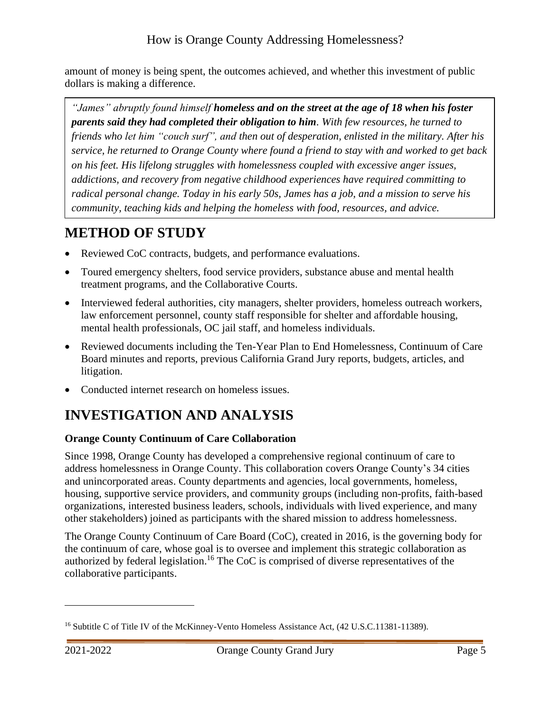amount of money is being spent, the outcomes achieved, and whether this investment of public dollars is making a difference.

*"James" abruptly found himself homeless and on the street at the age of 18 when his foster parents said they had completed their obligation to him. With few resources, he turned to friends who let him "couch surf", and then out of desperation, enlisted in the military. After his service, he returned to Orange County where found a friend to stay with and worked to get back on his feet. His lifelong struggles with homelessness coupled with excessive anger issues, addictions, and recovery from negative childhood experiences have required committing to radical personal change. Today in his early 50s, James has a job, and a mission to serve his community, teaching kids and helping the homeless with food, resources, and advice.*

# <span id="page-6-0"></span>**METHOD OF STUDY**

- Reviewed CoC contracts, budgets, and performance evaluations.
- Toured emergency shelters, food service providers, substance abuse and mental health treatment programs, and the Collaborative Courts.
- Interviewed federal authorities, city managers, shelter providers, homeless outreach workers, law enforcement personnel, county staff responsible for shelter and affordable housing, mental health professionals, OC jail staff, and homeless individuals.
- Reviewed documents including the Ten-Year Plan to End Homelessness, Continuum of Care Board minutes and reports, previous California Grand Jury reports, budgets, articles, and litigation.
- Conducted internet research on homeless issues.

# <span id="page-6-1"></span>**INVESTIGATION AND ANALYSIS**

### <span id="page-6-2"></span>**Orange County Continuum of Care Collaboration**

Since 1998, Orange County has developed a comprehensive regional continuum of care to address homelessness in Orange County. This collaboration covers Orange County's 34 cities and unincorporated areas. County departments and agencies, local governments, homeless, housing, supportive service providers, and community groups (including non-profits, faith-based organizations, interested business leaders, schools, individuals with lived experience, and many other stakeholders) joined as participants with the shared mission to address homelessness.

The Orange County Continuum of Care Board (CoC), created in 2016, is the governing body for the continuum of care, whose goal is to oversee and implement this strategic collaboration as authorized by federal legislation.<sup>16</sup> The CoC is comprised of diverse representatives of the collaborative participants.

<sup>&</sup>lt;sup>16</sup> Subtitle C of Title IV of the McKinney-Vento Homeless Assistance Act, (42 U.S.C.11381-11389).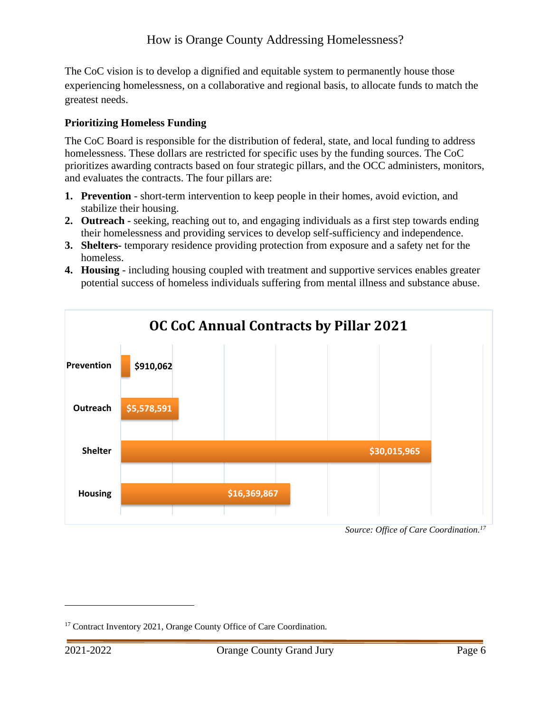The CoC vision is to develop a dignified and equitable system to permanently house those experiencing homelessness, on a collaborative and regional basis, to allocate funds to match the greatest needs.

### <span id="page-7-0"></span>**Prioritizing Homeless Funding**

The CoC Board is responsible for the distribution of federal, state, and local funding to address homelessness. These dollars are restricted for specific uses by the funding sources. The CoC prioritizes awarding contracts based on four strategic pillars, and the OCC administers, monitors, and evaluates the contracts. The four pillars are:

- **1. Prevention** short-term intervention to keep people in their homes, avoid eviction, and stabilize their housing.
- **2. Outreach** seeking, reaching out to, and engaging individuals as a first step towards ending their homelessness and providing services to develop self-sufficiency and independence.
- **3. Shelters-** temporary residence providing protection from exposure and a safety net for the homeless.
- **4. Housing** including housing coupled with treatment and supportive services enables greater potential success of homeless individuals suffering from mental illness and substance abuse.



*Source: Office of Care Coordination.<sup>17</sup>*

<sup>&</sup>lt;sup>17</sup> Contract Inventory 2021, Orange County Office of Care Coordination.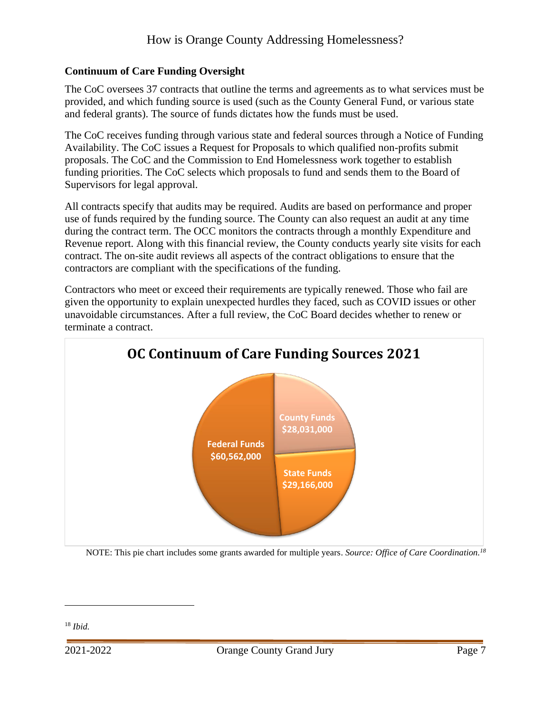#### <span id="page-8-0"></span>**Continuum of Care Funding Oversight**

The CoC oversees 37 contracts that outline the terms and agreements as to what services must be provided, and which funding source is used (such as the County General Fund, or various state and federal grants). The source of funds dictates how the funds must be used.

The CoC receives funding through various state and federal sources through a Notice of Funding Availability. The CoC issues a Request for Proposals to which qualified non-profits submit proposals. The CoC and the Commission to End Homelessness work together to establish funding priorities. The CoC selects which proposals to fund and sends them to the Board of Supervisors for legal approval.

All contracts specify that audits may be required. Audits are based on performance and proper use of funds required by the funding source. The County can also request an audit at any time during the contract term. The OCC monitors the contracts through a monthly Expenditure and Revenue report. Along with this financial review, the County conducts yearly site visits for each contract. The on-site audit reviews all aspects of the contract obligations to ensure that the contractors are compliant with the specifications of the funding.

Contractors who meet or exceed their requirements are typically renewed. Those who fail are given the opportunity to explain unexpected hurdles they faced, such as COVID issues or other unavoidable circumstances. After a full review, the CoC Board decides whether to renew or terminate a contract.



NOTE: This pie chart includes some grants awarded for multiple years. *Source: Office of Care Coordination.<sup>18</sup>*

<sup>18</sup> *Ibid.*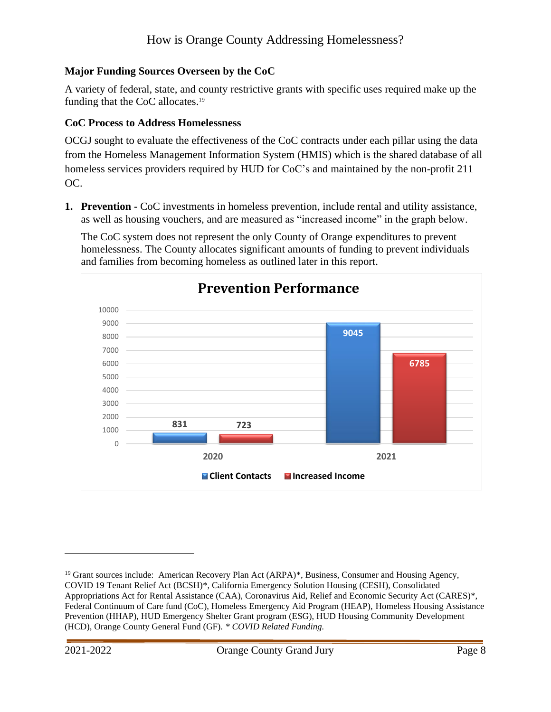### <span id="page-9-0"></span>**Major Funding Sources Overseen by the CoC**

A variety of federal, state, and county restrictive grants with specific uses required make up the funding that the CoC allocates.<sup>19</sup>

### <span id="page-9-1"></span>**CoC Process to Address Homelessness**

OCGJ sought to evaluate the effectiveness of the CoC contracts under each pillar using the data from the Homeless Management Information System (HMIS) which is the shared database of all homeless services providers required by HUD for CoC's and maintained by the non-profit 211 OC.

**1. Prevention -** CoC investments in homeless prevention, include rental and utility assistance, as well as housing vouchers, and are measured as "increased income" in the graph below.

The CoC system does not represent the only County of Orange expenditures to prevent homelessness. The County allocates significant amounts of funding to prevent individuals and families from becoming homeless as outlined later in this report.



<sup>&</sup>lt;sup>19</sup> Grant sources include: American Recovery Plan Act (ARPA)\*, Business, Consumer and Housing Agency, COVID 19 Tenant Relief Act (BCSH)\*, California Emergency Solution Housing (CESH), Consolidated Appropriations Act for Rental Assistance (CAA), Coronavirus Aid, Relief and Economic Security Act (CARES)\*, Federal Continuum of Care fund (CoC), Homeless Emergency Aid Program (HEAP), Homeless Housing Assistance Prevention (HHAP), HUD Emergency Shelter Grant program (ESG), HUD Housing Community Development (HCD), Orange County General Fund (GF). *\* COVID Related Funding.*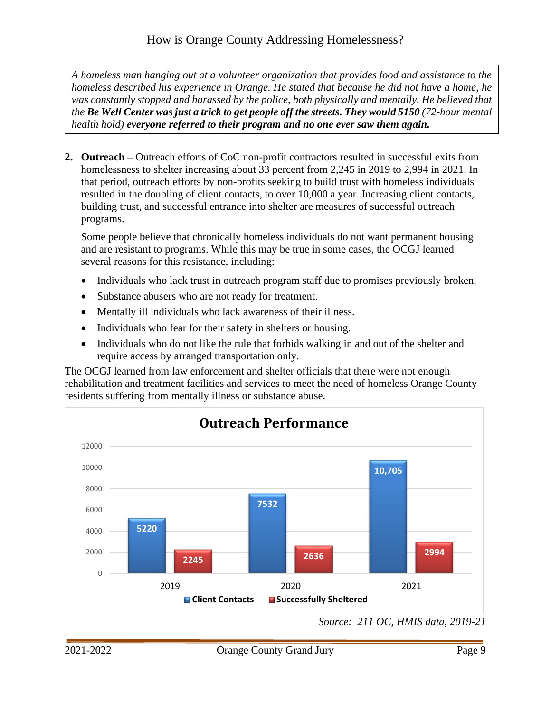*A homeless man hanging out at a volunteer organization that provides food and assistance to the homeless described his experience in Orange. He stated that because he did not have a home, he*  was constantly stopped and harassed by the police, both physically and mentally. He believed that *the Be Well Center was just a trick to get people off the streets. They would 5150 (72-hour mental health hold) everyone referred to their program and no one ever saw them again.*

**2. Outreach –** Outreach efforts of CoC non-profit contractors resulted in successful exits from homelessness to shelter increasing about 33 percent from 2,245 in 2019 to 2,994 in 2021. In that period, outreach efforts by non-profits seeking to build trust with homeless individuals resulted in the doubling of client contacts, to over 10,000 a year. Increasing client contacts, building trust, and successful entrance into shelter are measures of successful outreach programs.

Some people believe that chronically homeless individuals do not want permanent housing and are resistant to programs. While this may be true in some cases, the OCGJ learned several reasons for this resistance, including:

- Individuals who lack trust in outreach program staff due to promises previously broken.
- Substance abusers who are not ready for treatment.
- Mentally ill individuals who lack awareness of their illness.
- Individuals who fear for their safety in shelters or housing.
- Individuals who do not like the rule that forbids walking in and out of the shelter and require access by arranged transportation only.

The OCGJ learned from law enforcement and shelter officials that there were not enough rehabilitation and treatment facilities and services to meet the need of homeless Orange County residents suffering from mentally illness or substance abuse.



*Source: 211 OC, HMIS data, 2019-21*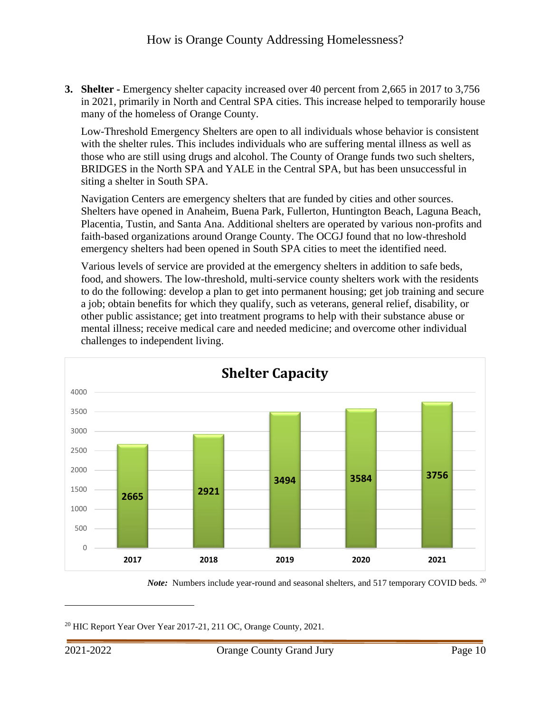**3. Shelter -** Emergency shelter capacity increased over 40 percent from 2,665 in 2017 to 3,756 in 2021, primarily in North and Central SPA cities. This increase helped to temporarily house many of the homeless of Orange County.

Low-Threshold Emergency Shelters are open to all individuals whose behavior is consistent with the shelter rules. This includes individuals who are suffering mental illness as well as those who are still using drugs and alcohol. The County of Orange funds two such shelters, BRIDGES in the North SPA and YALE in the Central SPA, but has been unsuccessful in siting a shelter in South SPA.

Navigation Centers are emergency shelters that are funded by cities and other sources. Shelters have opened in Anaheim, Buena Park, Fullerton, Huntington Beach, Laguna Beach, Placentia, Tustin, and Santa Ana. Additional shelters are operated by various non-profits and faith-based organizations around Orange County. The OCGJ found that no low-threshold emergency shelters had been opened in South SPA cities to meet the identified need.

Various levels of service are provided at the emergency shelters in addition to safe beds, food, and showers. The low-threshold, multi-service county shelters work with the residents to do the following: develop a plan to get into permanent housing; get job training and secure a job; obtain benefits for which they qualify, such as veterans, general relief, disability, or other public assistance; get into treatment programs to help with their substance abuse or mental illness; receive medical care and needed medicine; and overcome other individual challenges to independent living.



*Note:* Numbers include year-round and seasonal shelters, and 517 temporary COVID beds. *<sup>20</sup>*

 $20$  HIC Report Year Over Year 2017-21, 211 OC, Orange County, 2021.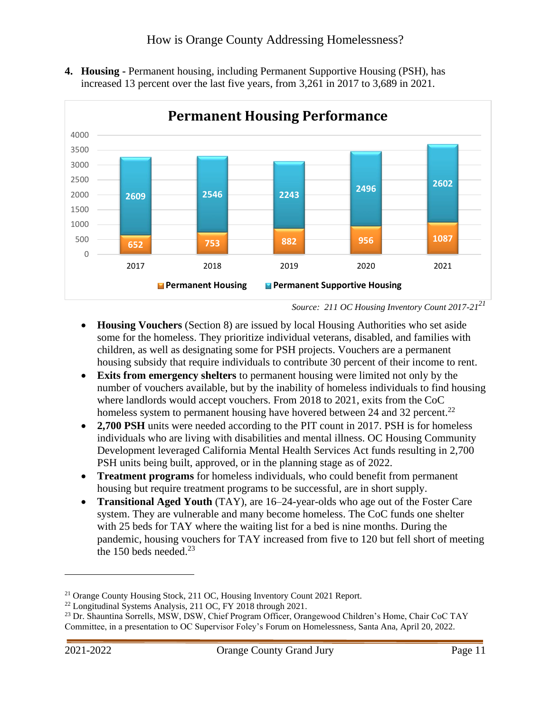**4. Housing -** Permanent housing, including Permanent Supportive Housing (PSH), has increased 13 percent over the last five years, from 3,261 in 2017 to 3,689 in 2021.



*Source: 211 OC Housing Inventory Count 2017-21<sup>21</sup>*

- **Housing Vouchers** (Section 8) are issued by local Housing Authorities who set aside some for the homeless. They prioritize individual veterans, disabled, and families with children, as well as designating some for PSH projects. Vouchers are a permanent housing subsidy that require individuals to contribute 30 percent of their income to rent.
- **Exits from emergency shelters** to permanent housing were limited not only by the number of vouchers available, but by the inability of homeless individuals to find housing where landlords would accept vouchers. From 2018 to 2021, exits from the CoC homeless system to permanent housing have hovered between 24 and 32 percent.<sup>22</sup>
- **2,700 PSH** units were needed according to the PIT count in 2017. PSH is for homeless individuals who are living with disabilities and mental illness. OC Housing Community Development leveraged California Mental Health Services Act funds resulting in 2,700 PSH units being built, approved, or in the planning stage as of 2022.
- **Treatment programs** for homeless individuals, who could benefit from permanent housing but require treatment programs to be successful, are in short supply.
- **Transitional Aged Youth** (TAY), are 16–24-year-olds who age out of the Foster Care system. They are vulnerable and many become homeless. The CoC funds one shelter with 25 beds for TAY where the waiting list for a bed is nine months. During the pandemic, housing vouchers for TAY increased from five to 120 but fell short of meeting the 150 beds needed. $23$

<sup>21</sup> Orange County Housing Stock, 211 OC, Housing Inventory Count 2021 Report.

<sup>&</sup>lt;sup>22</sup> Longitudinal Systems Analysis, 211 OC, FY 2018 through 2021.

<sup>&</sup>lt;sup>23</sup> Dr. Shauntina Sorrells, MSW, DSW, Chief Program Officer, Orangewood Children's Home, Chair CoC TAY Committee, in a presentation to OC Supervisor Foley's Forum on Homelessness, Santa Ana, April 20, 2022.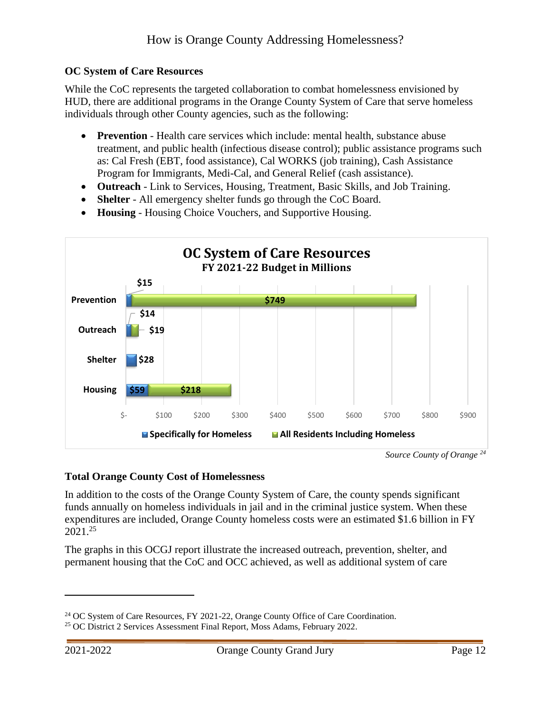#### <span id="page-13-0"></span>**OC System of Care Resources**

While the CoC represents the targeted collaboration to combat homelessness envisioned by HUD, there are additional programs in the Orange County System of Care that serve homeless individuals through other County agencies, such as the following:

- **Prevention** Health care services which include: mental health, substance abuse treatment, and public health (infectious disease control); public assistance programs such as: Cal Fresh (EBT, food assistance), Cal WORKS (job training), Cash Assistance Program for Immigrants, Medi-Cal, and General Relief (cash assistance).
- **Outreach** Link to Services, Housing, Treatment, Basic Skills, and Job Training.
- **Shelter** All emergency shelter funds go through the CoC Board.
- **Housing** Housing Choice Vouchers, and Supportive Housing.



*Source County of Orange <sup>24</sup>*

#### **Total Orange County Cost of Homelessness**

In addition to the costs of the Orange County System of Care, the county spends significant funds annually on homeless individuals in jail and in the criminal justice system. When these expenditures are included, Orange County homeless costs were an estimated \$1.6 billion in FY 2021. 25

The graphs in this OCGJ report illustrate the increased outreach, prevention, shelter, and permanent housing that the CoC and OCC achieved, as well as additional system of care

<sup>24</sup> OC System of Care Resources, FY 2021-22, Orange County Office of Care Coordination.

<sup>&</sup>lt;sup>25</sup> OC District 2 Services Assessment Final Report, Moss Adams, February 2022.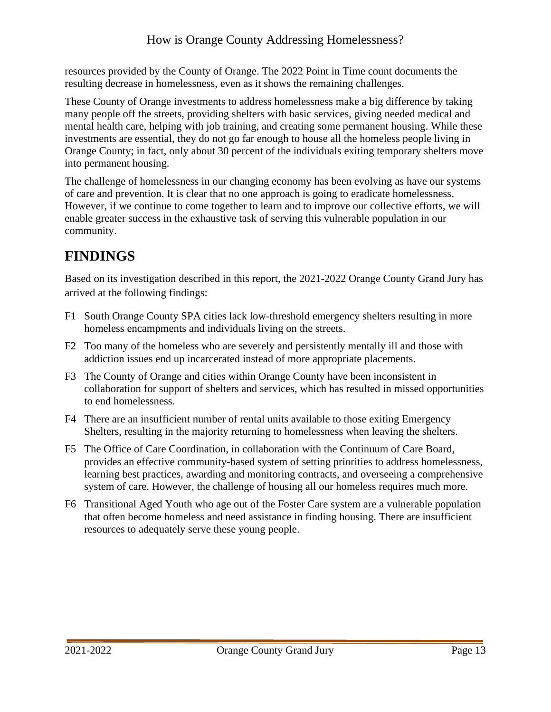resources provided by the County of Orange. The 2022 Point in Time count documents the resulting decrease in homelessness, even as it shows the remaining challenges.

These County of Orange investments to address homelessness make a big difference by taking many people off the streets, providing shelters with basic services, giving needed medical and mental health care, helping with job training, and creating some permanent housing. While these investments are essential, they do not go far enough to house all the homeless people living in Orange County; in fact, only about 30 percent of the individuals exiting temporary shelters move into permanent housing.

The challenge of homelessness in our changing economy has been evolving as have our systems of care and prevention. It is clear that no one approach is going to eradicate homelessness. However, if we continue to come together to learn and to improve our collective efforts, we will enable greater success in the exhaustive task of serving this vulnerable population in our community.

# <span id="page-14-0"></span>**FINDINGS**

Based on its investigation described in this report, the 2021-2022 Orange County Grand Jury has arrived at the following findings:

- F1 South Orange County SPA cities lack low-threshold emergency shelters resulting in more homeless encampments and individuals living on the streets.
- F2 Too many of the homeless who are severely and persistently mentally ill and those with addiction issues end up incarcerated instead of more appropriate placements.
- F3 The County of Orange and cities within Orange County have been inconsistent in collaboration for support of shelters and services, which has resulted in missed opportunities to end homelessness.
- F4 There are an insufficient number of rental units available to those exiting Emergency Shelters, resulting in the majority returning to homelessness when leaving the shelters.
- F5 The Office of Care Coordination, in collaboration with the Continuum of Care Board, provides an effective community-based system of setting priorities to address homelessness, learning best practices, awarding and monitoring contracts, and overseeing a comprehensive system of care. However, the challenge of housing all our homeless requires much more.
- <span id="page-14-1"></span>F6 Transitional Aged Youth who age out of the Foster Care system are a vulnerable population that often become homeless and need assistance in finding housing. There are insufficient resources to adequately serve these young people.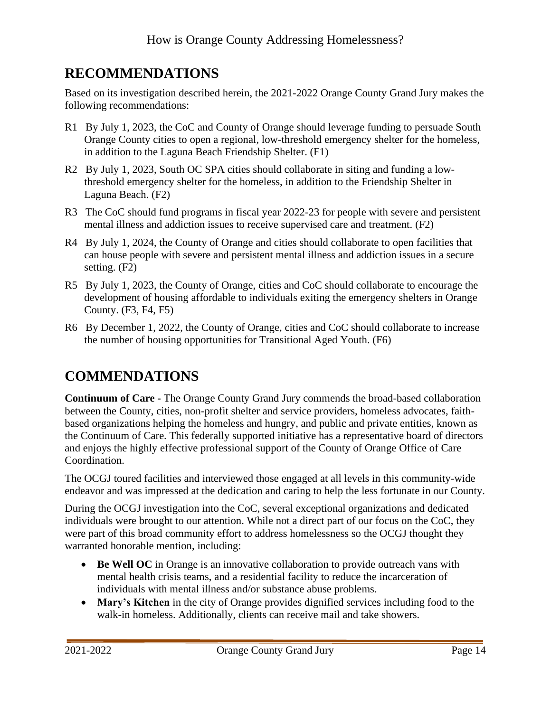# **RECOMMENDATIONS**

Based on its investigation described herein, the 2021-2022 Orange County Grand Jury makes the following recommendations:

- R1 By July 1, 2023, the CoC and County of Orange should leverage funding to persuade South Orange County cities to open a regional, low-threshold emergency shelter for the homeless, in addition to the Laguna Beach Friendship Shelter. (F1)
- R2 By July 1, 2023, South OC SPA cities should collaborate in siting and funding a lowthreshold emergency shelter for the homeless, in addition to the Friendship Shelter in Laguna Beach. (F2)
- R3 The CoC should fund programs in fiscal year 2022-23 for people with severe and persistent mental illness and addiction issues to receive supervised care and treatment. (F2)
- R4 By July 1, 2024, the County of Orange and cities should collaborate to open facilities that can house people with severe and persistent mental illness and addiction issues in a secure setting. (F2)
- R5 By July 1, 2023, the County of Orange, cities and CoC should collaborate to encourage the development of housing affordable to individuals exiting the emergency shelters in Orange County. (F3, F4, F5)
- R6 By December 1, 2022, the County of Orange, cities and CoC should collaborate to increase the number of housing opportunities for Transitional Aged Youth. (F6)

# <span id="page-15-0"></span>**COMMENDATIONS**

**Continuum of Care -** The Orange County Grand Jury commends the broad-based collaboration between the County, cities, non-profit shelter and service providers, homeless advocates, faithbased organizations helping the homeless and hungry, and public and private entities, known as the Continuum of Care. This federally supported initiative has a representative board of directors and enjoys the highly effective professional support of the County of Orange Office of Care Coordination.

The OCGJ toured facilities and interviewed those engaged at all levels in this community-wide endeavor and was impressed at the dedication and caring to help the less fortunate in our County.

During the OCGJ investigation into the CoC, several exceptional organizations and dedicated individuals were brought to our attention. While not a direct part of our focus on the CoC, they were part of this broad community effort to address homelessness so the OCGJ thought they warranted honorable mention, including:

- **Be Well OC** in Orange is an innovative collaboration to provide outreach vans with mental health crisis teams, and a residential facility to reduce the incarceration of individuals with mental illness and/or substance abuse problems.
- **Mary's Kitchen** in the city of Orange provides dignified services including food to the walk-in homeless. Additionally, clients can receive mail and take showers.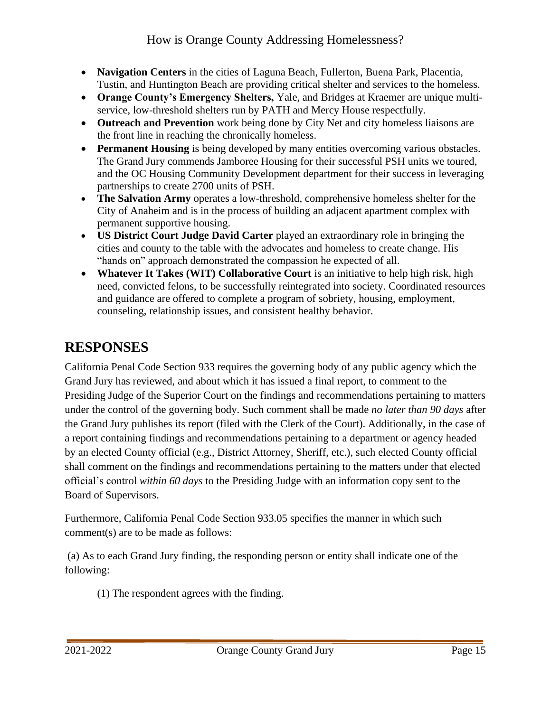- **Navigation Centers** in the cities of Laguna Beach, Fullerton, Buena Park, Placentia, Tustin, and Huntington Beach are providing critical shelter and services to the homeless.
- **Orange County's Emergency Shelters,** Yale, and Bridges at Kraemer are unique multiservice, low-threshold shelters run by PATH and Mercy House respectfully.
- **Outreach and Prevention** work being done by City Net and city homeless liaisons are the front line in reaching the chronically homeless.
- **Permanent Housing** is being developed by many entities overcoming various obstacles. The Grand Jury commends Jamboree Housing for their successful PSH units we toured, and the OC Housing Community Development department for their success in leveraging partnerships to create 2700 units of PSH.
- **The Salvation Army** operates a low-threshold, comprehensive homeless shelter for the City of Anaheim and is in the process of building an adjacent apartment complex with permanent supportive housing.
- **US District Court Judge David Carter** played an extraordinary role in bringing the cities and county to the table with the advocates and homeless to create change. His "hands on" approach demonstrated the compassion he expected of all.
- **Whatever It Takes (WIT) Collaborative Court** is an initiative to help high risk, high need, convicted felons, to be successfully reintegrated into society. Coordinated resources and guidance are offered to complete a program of sobriety, housing, employment, counseling, relationship issues, and consistent healthy behavior.

# <span id="page-16-0"></span>**RESPONSES**

California Penal Code Section 933 requires the governing body of any public agency which the Grand Jury has reviewed, and about which it has issued a final report, to comment to the Presiding Judge of the Superior Court on the findings and recommendations pertaining to matters under the control of the governing body. Such comment shall be made *no later than 90 days* after the Grand Jury publishes its report (filed with the Clerk of the Court). Additionally, in the case of a report containing findings and recommendations pertaining to a department or agency headed by an elected County official (e.g., District Attorney, Sheriff, etc.), such elected County official shall comment on the findings and recommendations pertaining to the matters under that elected official's control *within 60 days* to the Presiding Judge with an information copy sent to the Board of Supervisors.

Furthermore, California Penal Code Section 933.05 specifies the manner in which such comment(s) are to be made as follows:

(a) As to each Grand Jury finding, the responding person or entity shall indicate one of the following:

(1) The respondent agrees with the finding.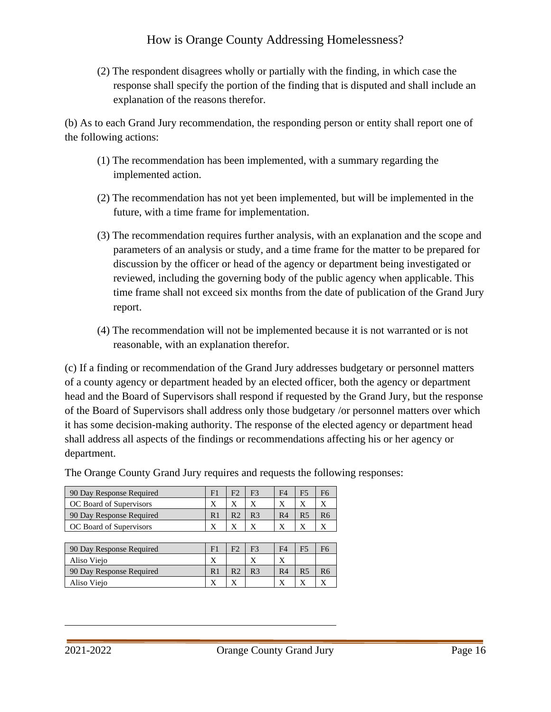(2) The respondent disagrees wholly or partially with the finding, in which case the response shall specify the portion of the finding that is disputed and shall include an explanation of the reasons therefor.

(b) As to each Grand Jury recommendation, the responding person or entity shall report one of the following actions:

- (1) The recommendation has been implemented, with a summary regarding the implemented action.
- (2) The recommendation has not yet been implemented, but will be implemented in the future, with a time frame for implementation.
- (3) The recommendation requires further analysis, with an explanation and the scope and parameters of an analysis or study, and a time frame for the matter to be prepared for discussion by the officer or head of the agency or department being investigated or reviewed, including the governing body of the public agency when applicable. This time frame shall not exceed six months from the date of publication of the Grand Jury report.
- (4) The recommendation will not be implemented because it is not warranted or is not reasonable, with an explanation therefor.

(c) If a finding or recommendation of the Grand Jury addresses budgetary or personnel matters of a county agency or department headed by an elected officer, both the agency or department head and the Board of Supervisors shall respond if requested by the Grand Jury, but the response of the Board of Supervisors shall address only those budgetary /or personnel matters over which it has some decision-making authority. The response of the elected agency or department head shall address all aspects of the findings or recommendations affecting his or her agency or department.

|                | F3 | F4 |  |
|----------------|----|----|--|
|                |    |    |  |
| D <sub>0</sub> | R3 | R4 |  |
|                |    |    |  |
|                |    |    |  |

The Orange County Grand Jury requires and requests the following responses:

| 90 Day Response Required | F              | F3             | F4             | F5                      | F6 |
|--------------------------|----------------|----------------|----------------|-------------------------|----|
| Aliso Viejo              |                |                | △              |                         |    |
| 90 Day Response Required | R1             | R <sub>3</sub> | R <sub>4</sub> | R <sub>5</sub>          |    |
| Aliso Viejo              | $\overline{v}$ |                | v              | $\overline{\mathbf{v}}$ |    |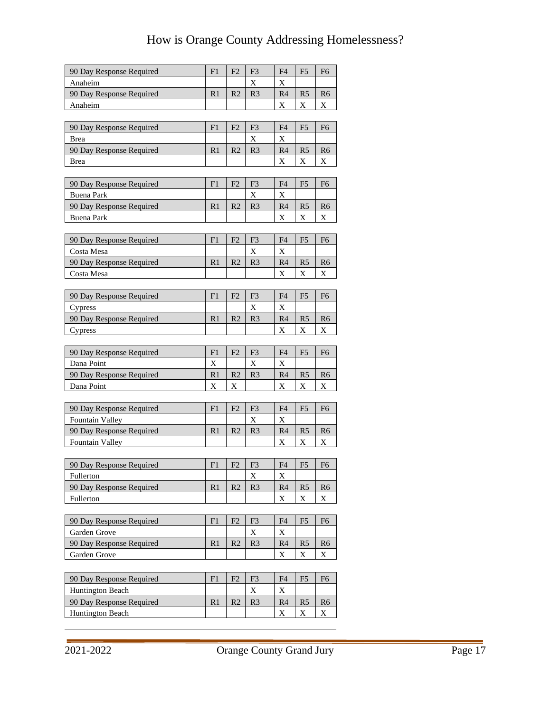| 90 Day Response Required | F1             | F <sub>2</sub> | F <sub>3</sub> | F4             | F <sub>5</sub> | F6             |
|--------------------------|----------------|----------------|----------------|----------------|----------------|----------------|
| Anaheim                  |                |                | X              | X              |                |                |
| 90 Day Response Required | R <sub>1</sub> | R2             | R <sub>3</sub> | R4             | R <sub>5</sub> | R <sub>6</sub> |
| Anaheim                  |                |                |                | X              | X              | X              |
|                          |                |                |                |                |                |                |
| 90 Day Response Required | F1             | F <sub>2</sub> | F <sub>3</sub> | F4             | F <sub>5</sub> | F <sub>6</sub> |
| Brea                     |                |                | X              | X              |                |                |
| 90 Day Response Required | R <sub>1</sub> | R <sub>2</sub> | R <sub>3</sub> | R <sub>4</sub> | R <sub>5</sub> | R6             |
| <b>Brea</b>              |                |                |                | X              | X              | X              |
|                          |                |                |                |                |                |                |
| 90 Day Response Required | F1             | F <sub>2</sub> | F <sub>3</sub> | F4             | F <sub>5</sub> | F <sub>6</sub> |
| Buena Park               |                |                | X              | X              |                |                |
| 90 Day Response Required | R <sub>1</sub> | R <sub>2</sub> | R <sub>3</sub> | R4             | R <sub>5</sub> | R <sub>6</sub> |
| <b>Buena Park</b>        |                |                |                | X              | X              | X              |
|                          |                |                |                |                |                |                |
| 90 Day Response Required | F1             | F2             | F <sub>3</sub> | F <sub>4</sub> | F <sub>5</sub> | F <sub>6</sub> |
| Costa Mesa               |                |                | X              | X              |                |                |
| 90 Day Response Required | R <sub>1</sub> | R <sub>2</sub> | R <sub>3</sub> | R <sub>4</sub> | R <sub>5</sub> | R <sub>6</sub> |
| Costa Mesa               |                |                |                | X              | X              | X              |
|                          |                |                |                |                |                |                |
| 90 Day Response Required | F1             | F <sub>2</sub> | F <sub>3</sub> | F4             | F <sub>5</sub> | F <sub>6</sub> |
| Cypress                  |                |                | X              | X              |                |                |
| 90 Day Response Required | R <sub>1</sub> | R <sub>2</sub> | R <sub>3</sub> | R <sub>4</sub> | R <sub>5</sub> | R <sub>6</sub> |
| Cypress                  |                |                |                | X              | X              | X              |
|                          |                |                |                |                |                |                |
| 90 Day Response Required | F1             | F <sub>2</sub> | F3             | F4             | F <sub>5</sub> | F6             |
| Dana Point               | X              |                | X              | X              |                |                |
| 90 Day Response Required | R <sub>1</sub> | R <sub>2</sub> | R <sub>3</sub> | R4             | R <sub>5</sub> | R <sub>6</sub> |
| Dana Point               | X              | X              |                | X              | X              | Х              |
|                          |                |                |                |                |                |                |
| 90 Day Response Required | F1             | F <sub>2</sub> | F <sub>3</sub> | F4             | F <sub>5</sub> | F6             |
| <b>Fountain Valley</b>   |                |                | X              | X              |                |                |
| 90 Day Response Required | R <sub>1</sub> | R <sub>2</sub> | R <sub>3</sub> | R4             | R <sub>5</sub> | R6             |
| Fountain Valley          |                |                |                | X              | X              | X              |
|                          |                |                |                |                |                |                |
| 90 Day Response Required | F1             | F <sub>2</sub> | F <sub>3</sub> | ${\rm F}4$     | ${\rm F}5$     | F <sub>6</sub> |
| Fullerton                |                |                | X              | X              |                |                |
| 90 Day Response Required | R <sub>1</sub> | R <sub>2</sub> | R <sub>3</sub> | R <sub>4</sub> | R <sub>5</sub> | R6             |
| Fullerton                |                |                |                | X              | X              | X              |
|                          |                |                |                |                |                |                |
| 90 Day Response Required | F1             | F <sub>2</sub> | F <sub>3</sub> | F4             | F5             | F <sub>6</sub> |
| Garden Grove             |                |                | X              | X              |                |                |
| 90 Day Response Required | R <sub>1</sub> | R <sub>2</sub> | R <sub>3</sub> | R <sub>4</sub> | R <sub>5</sub> | R6             |
| Garden Grove             |                |                |                | X              | X              | X              |
|                          |                |                |                |                |                |                |
|                          |                |                |                |                |                |                |
| 90 Day Response Required | F <sub>1</sub> | F2             | F <sub>3</sub> | F4             | F <sub>5</sub> | F <sub>6</sub> |
| <b>Huntington Beach</b>  |                |                | X              | X              |                |                |
| 90 Day Response Required | R <sub>1</sub> | R <sub>2</sub> | R <sub>3</sub> | R <sub>4</sub> | R <sub>5</sub> | R <sub>6</sub> |
| Huntington Beach         |                |                |                | X              | X              | X              |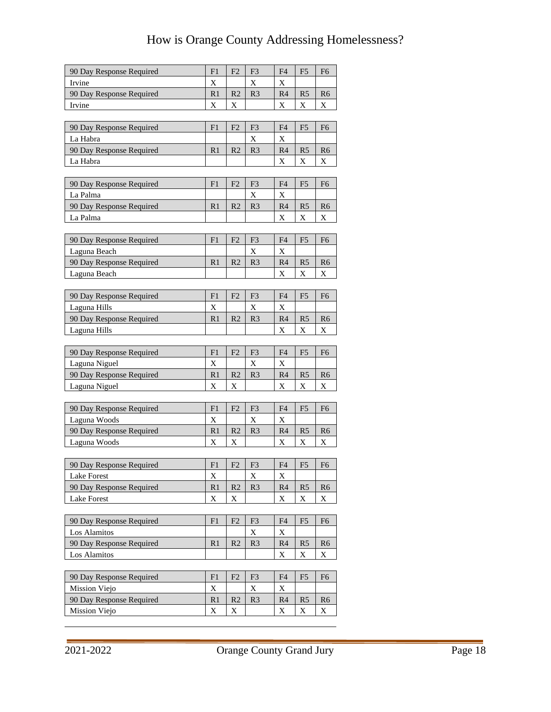| 90 Day Response Required                  | F1                  | F <sub>2</sub>      | F <sub>3</sub> | F4                  | F <sub>5</sub>      | F <sub>6</sub>                |
|-------------------------------------------|---------------------|---------------------|----------------|---------------------|---------------------|-------------------------------|
| Irvine                                    | X                   |                     | X              | X                   |                     |                               |
| 90 Day Response Required                  | R <sub>1</sub>      | R <sub>2</sub>      | R <sub>3</sub> | R4                  | R <sub>5</sub>      | R <sub>6</sub>                |
| Irvine                                    | X                   | X                   |                | X                   | X                   | X                             |
|                                           |                     |                     |                |                     |                     |                               |
| 90 Day Response Required                  | F1                  | F <sub>2</sub>      | F <sub>3</sub> | F <sub>4</sub>      | F <sub>5</sub>      | F <sub>6</sub>                |
| La Habra                                  |                     |                     | X              | X                   |                     |                               |
| 90 Day Response Required                  | R <sub>1</sub>      | R <sub>2</sub>      | R <sub>3</sub> | R <sub>4</sub>      | R <sub>5</sub>      | R <sub>6</sub>                |
| La Habra                                  |                     |                     |                | X                   | $\mathbf X$         | X                             |
|                                           |                     |                     |                |                     |                     |                               |
| 90 Day Response Required                  | F1                  | F <sub>2</sub>      | F <sub>3</sub> | F4                  | F <sub>5</sub>      | F <sub>6</sub>                |
| La Palma                                  |                     |                     | X              | X                   |                     |                               |
| 90 Day Response Required                  | R <sub>1</sub>      | R <sub>2</sub>      | R <sub>3</sub> | R4                  | R <sub>5</sub>      | R <sub>6</sub>                |
| La Palma                                  |                     |                     |                | X                   | X                   | X                             |
|                                           |                     |                     |                |                     |                     |                               |
| 90 Day Response Required                  | F1                  | F <sub>2</sub>      | F <sub>3</sub> | F <sub>4</sub>      | F <sub>5</sub>      | F <sub>6</sub>                |
| Laguna Beach                              |                     |                     | X              | X                   |                     |                               |
| 90 Day Response Required                  | R1                  | R <sub>2</sub>      | R <sub>3</sub> | R4                  | R <sub>5</sub>      | R <sub>6</sub>                |
| Laguna Beach                              |                     |                     |                | X                   | X                   | X                             |
|                                           |                     |                     |                |                     |                     |                               |
| 90 Day Response Required                  | F1                  | F <sub>2</sub>      | F <sub>3</sub> | F <sub>4</sub>      | F <sub>5</sub>      | F <sub>6</sub>                |
| Laguna Hills                              | X                   |                     | X              | X                   |                     |                               |
| 90 Day Response Required                  | R <sub>1</sub>      | R <sub>2</sub>      | R <sub>3</sub> | R <sub>4</sub>      | R <sub>5</sub>      | R <sub>6</sub>                |
| Laguna Hills                              |                     |                     |                | X                   | X                   | X                             |
|                                           |                     |                     |                |                     |                     |                               |
| 90 Day Response Required                  | F1                  | F <sub>2</sub>      | F <sub>3</sub> | F <sub>4</sub>      | F5                  | F6                            |
| Laguna Niguel                             | X                   |                     | X              | X                   |                     |                               |
| 90 Day Response Required                  | R1                  | R <sub>2</sub>      | R <sub>3</sub> | R4                  | R <sub>5</sub>      | R <sub>6</sub>                |
| Laguna Niguel                             | X                   | X                   |                | X                   | X                   | Х                             |
|                                           |                     |                     |                |                     |                     |                               |
| 90 Day Response Required                  | F1                  | F <sub>2</sub>      | F <sub>3</sub> | F4                  | F <sub>5</sub>      | F <sub>6</sub>                |
| Laguna Woods                              | X                   |                     | X              | X                   |                     |                               |
| 90 Day Response Required                  | R <sub>1</sub>      | R <sub>2</sub>      | R <sub>3</sub> | R4                  | R <sub>5</sub>      | R <sub>6</sub>                |
| Laguna Woods                              | X                   | X                   |                | X                   | X                   | X                             |
|                                           |                     |                     |                |                     |                     |                               |
| 90 Day Response Required                  | ${\rm F}1$          | F2                  | ${\rm F3}$     | ${\rm F4}$          | ${\rm F}5$          | F <sub>6</sub>                |
| <b>Lake Forest</b>                        | X                   |                     | X              | X                   |                     |                               |
| 90 Day Response Required                  | R <sub>1</sub>      | R <sub>2</sub>      | R <sub>3</sub> | R <sub>4</sub>      | R <sub>5</sub>      | R <sub>6</sub>                |
| <b>Lake Forest</b>                        | X                   | X                   |                | X                   | X                   | X                             |
|                                           |                     |                     |                |                     |                     |                               |
|                                           |                     |                     |                |                     |                     |                               |
| 90 Day Response Required                  | F1                  | F <sub>2</sub>      | F <sub>3</sub> | F4                  | F <sub>5</sub>      | F <sub>6</sub>                |
| Los Alamitos                              |                     |                     | X              | X                   |                     |                               |
| 90 Day Response Required                  | R <sub>1</sub>      | R <sub>2</sub>      | R <sub>3</sub> | R <sub>4</sub>      | R <sub>5</sub>      | R <sub>6</sub>                |
| Los Alamitos                              |                     |                     |                | X                   | X                   | X                             |
|                                           |                     |                     |                |                     |                     |                               |
| 90 Day Response Required                  | F1                  | F <sub>2</sub>      | F <sub>3</sub> | F <sub>4</sub>      | F <sub>5</sub>      | F <sub>6</sub>                |
| Mission Viejo                             | X                   |                     | X              | X                   |                     |                               |
| 90 Day Response Required<br>Mission Viejo | R <sub>1</sub><br>X | R <sub>2</sub><br>X | R <sub>3</sub> | R <sub>4</sub><br>X | R <sub>5</sub><br>X | R <sub>6</sub><br>$\mathbf X$ |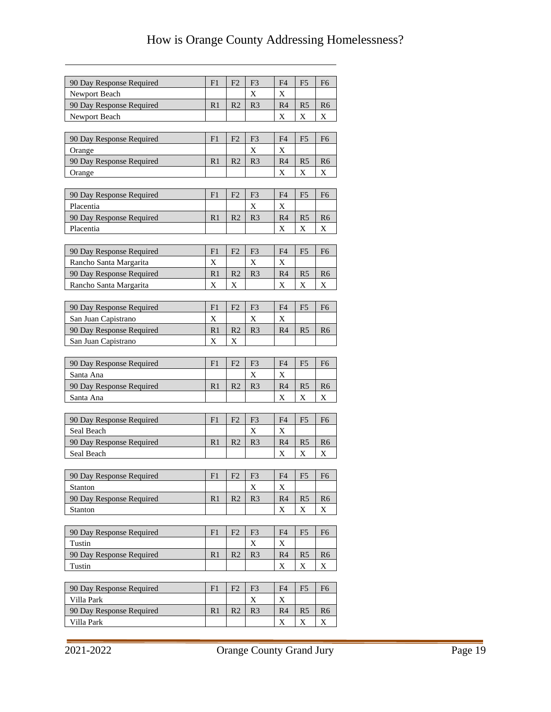| 90 Day Response Required<br>F1<br>F <sub>2</sub><br>F <sub>3</sub><br>F <sub>4</sub><br>F <sub>5</sub><br>F <sub>6</sub><br>X<br>Newport Beach<br>Χ<br>R <sub>2</sub><br>R4<br>90 Day Response Required<br>R <sub>1</sub><br>R <sub>3</sub><br>R <sub>5</sub><br>R <sub>6</sub><br>X<br>Newport Beach<br>Χ<br>X<br>F <sub>3</sub><br>90 Day Response Required<br>F1<br>F <sub>2</sub><br>F <sub>4</sub><br>F <sub>5</sub><br>F <sub>6</sub><br>X<br>X<br>Orange<br>R <sub>2</sub><br>90 Day Response Required<br>R <sub>1</sub><br>R <sub>4</sub><br>R <sub>5</sub><br>R <sub>3</sub><br>R <sub>6</sub><br>X<br>X<br>X<br>Orange<br>F <sub>3</sub><br>90 Day Response Required<br>F1<br>F <sub>2</sub><br>F4<br>F <sub>5</sub><br>F6<br>Placentia<br>X<br>X<br>90 Day Response Required<br>R <sub>2</sub><br>R <sub>3</sub><br>R <sub>4</sub><br>R <sub>1</sub><br>R <sub>5</sub><br>R <sub>6</sub><br>Placentia<br>X<br>X<br>Х<br>F2<br>F <sub>3</sub><br>90 Day Response Required<br>F1<br>F4<br>F5<br>F <sub>6</sub><br>X<br>X<br>Rancho Santa Margarita<br>X<br>R1<br>90 Day Response Required<br>R <sub>2</sub><br>R <sub>3</sub><br>R <sub>4</sub><br>R <sub>5</sub><br>R <sub>6</sub><br>$\mathbf X$<br>X<br>X<br>X<br>$\overline{X}$<br>Rancho Santa Margarita<br>90 Day Response Required<br>F <sub>1</sub><br>F <sub>2</sub><br>F <sub>3</sub><br>F4<br>F <sub>5</sub><br>F <sub>6</sub><br>$\mathbf X$<br>X<br>X<br>San Juan Capistrano<br>R <sub>2</sub><br>90 Day Response Required<br>R <sub>1</sub><br>R <sub>3</sub><br>R4<br>R5<br>R <sub>6</sub><br>X<br>San Juan Capistrano<br>X<br>F1<br>F <sub>2</sub><br>F <sub>3</sub><br>F4<br>90 Day Response Required<br>F <sub>5</sub><br>F <sub>6</sub><br>Χ<br>X<br>Santa Ana<br>R <sub>3</sub><br>90 Day Response Required<br>R <sub>1</sub><br>R <sub>2</sub><br>R <sub>4</sub><br>R <sub>5</sub><br>R <sub>6</sub><br>X<br>X<br>Santa Ana<br>X<br>F1<br>F2<br>F <sub>3</sub><br>F <sub>4</sub><br>F <sub>5</sub><br>90 Day Response Required<br>F <sub>6</sub><br>X<br>X<br>Seal Beach<br>R <sub>2</sub><br>90 Day Response Required<br>R <sub>1</sub><br>R <sub>3</sub><br>R <sub>4</sub><br>R <sub>5</sub><br>R <sub>6</sub><br>X<br>Seal Beach<br>X<br>X<br>F2<br>90 Day Response Required<br>F1<br>F3<br>F <sub>4</sub><br>F <sub>5</sub><br>F <sub>6</sub><br>$\mathbf X$<br>Stanton<br>$\mathbf X$<br>90 Day Response Required<br>R2<br>R <sub>1</sub><br>R <sub>3</sub><br>R <sub>4</sub><br>R <sub>5</sub><br>R <sub>6</sub><br>Stanton<br>X<br>X<br>X<br>90 Day Response Required<br>F1<br>F <sub>2</sub><br>F3<br>F <sub>6</sub><br>F4<br>F5<br>Tustin<br>X<br>X<br>90 Day Response Required<br>R3<br>R2<br>R4<br>R <sub>5</sub><br>R <sub>1</sub><br>R <sub>6</sub><br>X<br>Tustin<br>X<br>X<br>90 Day Response Required<br>F1<br>F <sub>2</sub><br>F <sub>3</sub><br>F <sub>4</sub><br>F <sub>5</sub><br>F <sub>6</sub><br>X<br>Villa Park<br>X<br>90 Day Response Required<br>R2<br>R <sub>3</sub><br>R <sub>1</sub><br>R <sub>4</sub><br>R <sub>5</sub><br>R <sub>6</sub> | Villa Park<br>X<br>X<br>X |  |  |  |  |
|---------------------------------------------------------------------------------------------------------------------------------------------------------------------------------------------------------------------------------------------------------------------------------------------------------------------------------------------------------------------------------------------------------------------------------------------------------------------------------------------------------------------------------------------------------------------------------------------------------------------------------------------------------------------------------------------------------------------------------------------------------------------------------------------------------------------------------------------------------------------------------------------------------------------------------------------------------------------------------------------------------------------------------------------------------------------------------------------------------------------------------------------------------------------------------------------------------------------------------------------------------------------------------------------------------------------------------------------------------------------------------------------------------------------------------------------------------------------------------------------------------------------------------------------------------------------------------------------------------------------------------------------------------------------------------------------------------------------------------------------------------------------------------------------------------------------------------------------------------------------------------------------------------------------------------------------------------------------------------------------------------------------------------------------------------------------------------------------------------------------------------------------------------------------------------------------------------------------------------------------------------------------------------------------------------------------------------------------------------------------------------------------------------------------------------------------------------------------------------------------------------------------------------------------------------------------------------------------------------------------------------------------------------------------------------------------------------------------------------------------------------------------------------------------------------------------------------------------------------------------------------------------------------------------------------------------------------------------------------------------------------------------------------------------------------|---------------------------|--|--|--|--|
|                                                                                                                                                                                                                                                                                                                                                                                                                                                                                                                                                                                                                                                                                                                                                                                                                                                                                                                                                                                                                                                                                                                                                                                                                                                                                                                                                                                                                                                                                                                                                                                                                                                                                                                                                                                                                                                                                                                                                                                                                                                                                                                                                                                                                                                                                                                                                                                                                                                                                                                                                                                                                                                                                                                                                                                                                                                                                                                                                                                                                                                         |                           |  |  |  |  |
|                                                                                                                                                                                                                                                                                                                                                                                                                                                                                                                                                                                                                                                                                                                                                                                                                                                                                                                                                                                                                                                                                                                                                                                                                                                                                                                                                                                                                                                                                                                                                                                                                                                                                                                                                                                                                                                                                                                                                                                                                                                                                                                                                                                                                                                                                                                                                                                                                                                                                                                                                                                                                                                                                                                                                                                                                                                                                                                                                                                                                                                         |                           |  |  |  |  |
|                                                                                                                                                                                                                                                                                                                                                                                                                                                                                                                                                                                                                                                                                                                                                                                                                                                                                                                                                                                                                                                                                                                                                                                                                                                                                                                                                                                                                                                                                                                                                                                                                                                                                                                                                                                                                                                                                                                                                                                                                                                                                                                                                                                                                                                                                                                                                                                                                                                                                                                                                                                                                                                                                                                                                                                                                                                                                                                                                                                                                                                         |                           |  |  |  |  |
|                                                                                                                                                                                                                                                                                                                                                                                                                                                                                                                                                                                                                                                                                                                                                                                                                                                                                                                                                                                                                                                                                                                                                                                                                                                                                                                                                                                                                                                                                                                                                                                                                                                                                                                                                                                                                                                                                                                                                                                                                                                                                                                                                                                                                                                                                                                                                                                                                                                                                                                                                                                                                                                                                                                                                                                                                                                                                                                                                                                                                                                         |                           |  |  |  |  |
|                                                                                                                                                                                                                                                                                                                                                                                                                                                                                                                                                                                                                                                                                                                                                                                                                                                                                                                                                                                                                                                                                                                                                                                                                                                                                                                                                                                                                                                                                                                                                                                                                                                                                                                                                                                                                                                                                                                                                                                                                                                                                                                                                                                                                                                                                                                                                                                                                                                                                                                                                                                                                                                                                                                                                                                                                                                                                                                                                                                                                                                         |                           |  |  |  |  |
|                                                                                                                                                                                                                                                                                                                                                                                                                                                                                                                                                                                                                                                                                                                                                                                                                                                                                                                                                                                                                                                                                                                                                                                                                                                                                                                                                                                                                                                                                                                                                                                                                                                                                                                                                                                                                                                                                                                                                                                                                                                                                                                                                                                                                                                                                                                                                                                                                                                                                                                                                                                                                                                                                                                                                                                                                                                                                                                                                                                                                                                         |                           |  |  |  |  |
|                                                                                                                                                                                                                                                                                                                                                                                                                                                                                                                                                                                                                                                                                                                                                                                                                                                                                                                                                                                                                                                                                                                                                                                                                                                                                                                                                                                                                                                                                                                                                                                                                                                                                                                                                                                                                                                                                                                                                                                                                                                                                                                                                                                                                                                                                                                                                                                                                                                                                                                                                                                                                                                                                                                                                                                                                                                                                                                                                                                                                                                         |                           |  |  |  |  |
|                                                                                                                                                                                                                                                                                                                                                                                                                                                                                                                                                                                                                                                                                                                                                                                                                                                                                                                                                                                                                                                                                                                                                                                                                                                                                                                                                                                                                                                                                                                                                                                                                                                                                                                                                                                                                                                                                                                                                                                                                                                                                                                                                                                                                                                                                                                                                                                                                                                                                                                                                                                                                                                                                                                                                                                                                                                                                                                                                                                                                                                         |                           |  |  |  |  |
|                                                                                                                                                                                                                                                                                                                                                                                                                                                                                                                                                                                                                                                                                                                                                                                                                                                                                                                                                                                                                                                                                                                                                                                                                                                                                                                                                                                                                                                                                                                                                                                                                                                                                                                                                                                                                                                                                                                                                                                                                                                                                                                                                                                                                                                                                                                                                                                                                                                                                                                                                                                                                                                                                                                                                                                                                                                                                                                                                                                                                                                         |                           |  |  |  |  |
|                                                                                                                                                                                                                                                                                                                                                                                                                                                                                                                                                                                                                                                                                                                                                                                                                                                                                                                                                                                                                                                                                                                                                                                                                                                                                                                                                                                                                                                                                                                                                                                                                                                                                                                                                                                                                                                                                                                                                                                                                                                                                                                                                                                                                                                                                                                                                                                                                                                                                                                                                                                                                                                                                                                                                                                                                                                                                                                                                                                                                                                         |                           |  |  |  |  |
|                                                                                                                                                                                                                                                                                                                                                                                                                                                                                                                                                                                                                                                                                                                                                                                                                                                                                                                                                                                                                                                                                                                                                                                                                                                                                                                                                                                                                                                                                                                                                                                                                                                                                                                                                                                                                                                                                                                                                                                                                                                                                                                                                                                                                                                                                                                                                                                                                                                                                                                                                                                                                                                                                                                                                                                                                                                                                                                                                                                                                                                         |                           |  |  |  |  |
|                                                                                                                                                                                                                                                                                                                                                                                                                                                                                                                                                                                                                                                                                                                                                                                                                                                                                                                                                                                                                                                                                                                                                                                                                                                                                                                                                                                                                                                                                                                                                                                                                                                                                                                                                                                                                                                                                                                                                                                                                                                                                                                                                                                                                                                                                                                                                                                                                                                                                                                                                                                                                                                                                                                                                                                                                                                                                                                                                                                                                                                         |                           |  |  |  |  |
|                                                                                                                                                                                                                                                                                                                                                                                                                                                                                                                                                                                                                                                                                                                                                                                                                                                                                                                                                                                                                                                                                                                                                                                                                                                                                                                                                                                                                                                                                                                                                                                                                                                                                                                                                                                                                                                                                                                                                                                                                                                                                                                                                                                                                                                                                                                                                                                                                                                                                                                                                                                                                                                                                                                                                                                                                                                                                                                                                                                                                                                         |                           |  |  |  |  |
|                                                                                                                                                                                                                                                                                                                                                                                                                                                                                                                                                                                                                                                                                                                                                                                                                                                                                                                                                                                                                                                                                                                                                                                                                                                                                                                                                                                                                                                                                                                                                                                                                                                                                                                                                                                                                                                                                                                                                                                                                                                                                                                                                                                                                                                                                                                                                                                                                                                                                                                                                                                                                                                                                                                                                                                                                                                                                                                                                                                                                                                         |                           |  |  |  |  |
|                                                                                                                                                                                                                                                                                                                                                                                                                                                                                                                                                                                                                                                                                                                                                                                                                                                                                                                                                                                                                                                                                                                                                                                                                                                                                                                                                                                                                                                                                                                                                                                                                                                                                                                                                                                                                                                                                                                                                                                                                                                                                                                                                                                                                                                                                                                                                                                                                                                                                                                                                                                                                                                                                                                                                                                                                                                                                                                                                                                                                                                         |                           |  |  |  |  |
|                                                                                                                                                                                                                                                                                                                                                                                                                                                                                                                                                                                                                                                                                                                                                                                                                                                                                                                                                                                                                                                                                                                                                                                                                                                                                                                                                                                                                                                                                                                                                                                                                                                                                                                                                                                                                                                                                                                                                                                                                                                                                                                                                                                                                                                                                                                                                                                                                                                                                                                                                                                                                                                                                                                                                                                                                                                                                                                                                                                                                                                         |                           |  |  |  |  |
|                                                                                                                                                                                                                                                                                                                                                                                                                                                                                                                                                                                                                                                                                                                                                                                                                                                                                                                                                                                                                                                                                                                                                                                                                                                                                                                                                                                                                                                                                                                                                                                                                                                                                                                                                                                                                                                                                                                                                                                                                                                                                                                                                                                                                                                                                                                                                                                                                                                                                                                                                                                                                                                                                                                                                                                                                                                                                                                                                                                                                                                         |                           |  |  |  |  |
|                                                                                                                                                                                                                                                                                                                                                                                                                                                                                                                                                                                                                                                                                                                                                                                                                                                                                                                                                                                                                                                                                                                                                                                                                                                                                                                                                                                                                                                                                                                                                                                                                                                                                                                                                                                                                                                                                                                                                                                                                                                                                                                                                                                                                                                                                                                                                                                                                                                                                                                                                                                                                                                                                                                                                                                                                                                                                                                                                                                                                                                         |                           |  |  |  |  |
|                                                                                                                                                                                                                                                                                                                                                                                                                                                                                                                                                                                                                                                                                                                                                                                                                                                                                                                                                                                                                                                                                                                                                                                                                                                                                                                                                                                                                                                                                                                                                                                                                                                                                                                                                                                                                                                                                                                                                                                                                                                                                                                                                                                                                                                                                                                                                                                                                                                                                                                                                                                                                                                                                                                                                                                                                                                                                                                                                                                                                                                         |                           |  |  |  |  |
|                                                                                                                                                                                                                                                                                                                                                                                                                                                                                                                                                                                                                                                                                                                                                                                                                                                                                                                                                                                                                                                                                                                                                                                                                                                                                                                                                                                                                                                                                                                                                                                                                                                                                                                                                                                                                                                                                                                                                                                                                                                                                                                                                                                                                                                                                                                                                                                                                                                                                                                                                                                                                                                                                                                                                                                                                                                                                                                                                                                                                                                         |                           |  |  |  |  |
|                                                                                                                                                                                                                                                                                                                                                                                                                                                                                                                                                                                                                                                                                                                                                                                                                                                                                                                                                                                                                                                                                                                                                                                                                                                                                                                                                                                                                                                                                                                                                                                                                                                                                                                                                                                                                                                                                                                                                                                                                                                                                                                                                                                                                                                                                                                                                                                                                                                                                                                                                                                                                                                                                                                                                                                                                                                                                                                                                                                                                                                         |                           |  |  |  |  |
|                                                                                                                                                                                                                                                                                                                                                                                                                                                                                                                                                                                                                                                                                                                                                                                                                                                                                                                                                                                                                                                                                                                                                                                                                                                                                                                                                                                                                                                                                                                                                                                                                                                                                                                                                                                                                                                                                                                                                                                                                                                                                                                                                                                                                                                                                                                                                                                                                                                                                                                                                                                                                                                                                                                                                                                                                                                                                                                                                                                                                                                         |                           |  |  |  |  |
|                                                                                                                                                                                                                                                                                                                                                                                                                                                                                                                                                                                                                                                                                                                                                                                                                                                                                                                                                                                                                                                                                                                                                                                                                                                                                                                                                                                                                                                                                                                                                                                                                                                                                                                                                                                                                                                                                                                                                                                                                                                                                                                                                                                                                                                                                                                                                                                                                                                                                                                                                                                                                                                                                                                                                                                                                                                                                                                                                                                                                                                         |                           |  |  |  |  |
|                                                                                                                                                                                                                                                                                                                                                                                                                                                                                                                                                                                                                                                                                                                                                                                                                                                                                                                                                                                                                                                                                                                                                                                                                                                                                                                                                                                                                                                                                                                                                                                                                                                                                                                                                                                                                                                                                                                                                                                                                                                                                                                                                                                                                                                                                                                                                                                                                                                                                                                                                                                                                                                                                                                                                                                                                                                                                                                                                                                                                                                         |                           |  |  |  |  |
|                                                                                                                                                                                                                                                                                                                                                                                                                                                                                                                                                                                                                                                                                                                                                                                                                                                                                                                                                                                                                                                                                                                                                                                                                                                                                                                                                                                                                                                                                                                                                                                                                                                                                                                                                                                                                                                                                                                                                                                                                                                                                                                                                                                                                                                                                                                                                                                                                                                                                                                                                                                                                                                                                                                                                                                                                                                                                                                                                                                                                                                         |                           |  |  |  |  |
|                                                                                                                                                                                                                                                                                                                                                                                                                                                                                                                                                                                                                                                                                                                                                                                                                                                                                                                                                                                                                                                                                                                                                                                                                                                                                                                                                                                                                                                                                                                                                                                                                                                                                                                                                                                                                                                                                                                                                                                                                                                                                                                                                                                                                                                                                                                                                                                                                                                                                                                                                                                                                                                                                                                                                                                                                                                                                                                                                                                                                                                         |                           |  |  |  |  |
|                                                                                                                                                                                                                                                                                                                                                                                                                                                                                                                                                                                                                                                                                                                                                                                                                                                                                                                                                                                                                                                                                                                                                                                                                                                                                                                                                                                                                                                                                                                                                                                                                                                                                                                                                                                                                                                                                                                                                                                                                                                                                                                                                                                                                                                                                                                                                                                                                                                                                                                                                                                                                                                                                                                                                                                                                                                                                                                                                                                                                                                         |                           |  |  |  |  |
|                                                                                                                                                                                                                                                                                                                                                                                                                                                                                                                                                                                                                                                                                                                                                                                                                                                                                                                                                                                                                                                                                                                                                                                                                                                                                                                                                                                                                                                                                                                                                                                                                                                                                                                                                                                                                                                                                                                                                                                                                                                                                                                                                                                                                                                                                                                                                                                                                                                                                                                                                                                                                                                                                                                                                                                                                                                                                                                                                                                                                                                         |                           |  |  |  |  |
|                                                                                                                                                                                                                                                                                                                                                                                                                                                                                                                                                                                                                                                                                                                                                                                                                                                                                                                                                                                                                                                                                                                                                                                                                                                                                                                                                                                                                                                                                                                                                                                                                                                                                                                                                                                                                                                                                                                                                                                                                                                                                                                                                                                                                                                                                                                                                                                                                                                                                                                                                                                                                                                                                                                                                                                                                                                                                                                                                                                                                                                         |                           |  |  |  |  |
|                                                                                                                                                                                                                                                                                                                                                                                                                                                                                                                                                                                                                                                                                                                                                                                                                                                                                                                                                                                                                                                                                                                                                                                                                                                                                                                                                                                                                                                                                                                                                                                                                                                                                                                                                                                                                                                                                                                                                                                                                                                                                                                                                                                                                                                                                                                                                                                                                                                                                                                                                                                                                                                                                                                                                                                                                                                                                                                                                                                                                                                         |                           |  |  |  |  |
|                                                                                                                                                                                                                                                                                                                                                                                                                                                                                                                                                                                                                                                                                                                                                                                                                                                                                                                                                                                                                                                                                                                                                                                                                                                                                                                                                                                                                                                                                                                                                                                                                                                                                                                                                                                                                                                                                                                                                                                                                                                                                                                                                                                                                                                                                                                                                                                                                                                                                                                                                                                                                                                                                                                                                                                                                                                                                                                                                                                                                                                         |                           |  |  |  |  |
|                                                                                                                                                                                                                                                                                                                                                                                                                                                                                                                                                                                                                                                                                                                                                                                                                                                                                                                                                                                                                                                                                                                                                                                                                                                                                                                                                                                                                                                                                                                                                                                                                                                                                                                                                                                                                                                                                                                                                                                                                                                                                                                                                                                                                                                                                                                                                                                                                                                                                                                                                                                                                                                                                                                                                                                                                                                                                                                                                                                                                                                         |                           |  |  |  |  |
|                                                                                                                                                                                                                                                                                                                                                                                                                                                                                                                                                                                                                                                                                                                                                                                                                                                                                                                                                                                                                                                                                                                                                                                                                                                                                                                                                                                                                                                                                                                                                                                                                                                                                                                                                                                                                                                                                                                                                                                                                                                                                                                                                                                                                                                                                                                                                                                                                                                                                                                                                                                                                                                                                                                                                                                                                                                                                                                                                                                                                                                         |                           |  |  |  |  |
|                                                                                                                                                                                                                                                                                                                                                                                                                                                                                                                                                                                                                                                                                                                                                                                                                                                                                                                                                                                                                                                                                                                                                                                                                                                                                                                                                                                                                                                                                                                                                                                                                                                                                                                                                                                                                                                                                                                                                                                                                                                                                                                                                                                                                                                                                                                                                                                                                                                                                                                                                                                                                                                                                                                                                                                                                                                                                                                                                                                                                                                         |                           |  |  |  |  |
|                                                                                                                                                                                                                                                                                                                                                                                                                                                                                                                                                                                                                                                                                                                                                                                                                                                                                                                                                                                                                                                                                                                                                                                                                                                                                                                                                                                                                                                                                                                                                                                                                                                                                                                                                                                                                                                                                                                                                                                                                                                                                                                                                                                                                                                                                                                                                                                                                                                                                                                                                                                                                                                                                                                                                                                                                                                                                                                                                                                                                                                         |                           |  |  |  |  |
|                                                                                                                                                                                                                                                                                                                                                                                                                                                                                                                                                                                                                                                                                                                                                                                                                                                                                                                                                                                                                                                                                                                                                                                                                                                                                                                                                                                                                                                                                                                                                                                                                                                                                                                                                                                                                                                                                                                                                                                                                                                                                                                                                                                                                                                                                                                                                                                                                                                                                                                                                                                                                                                                                                                                                                                                                                                                                                                                                                                                                                                         |                           |  |  |  |  |
|                                                                                                                                                                                                                                                                                                                                                                                                                                                                                                                                                                                                                                                                                                                                                                                                                                                                                                                                                                                                                                                                                                                                                                                                                                                                                                                                                                                                                                                                                                                                                                                                                                                                                                                                                                                                                                                                                                                                                                                                                                                                                                                                                                                                                                                                                                                                                                                                                                                                                                                                                                                                                                                                                                                                                                                                                                                                                                                                                                                                                                                         |                           |  |  |  |  |
|                                                                                                                                                                                                                                                                                                                                                                                                                                                                                                                                                                                                                                                                                                                                                                                                                                                                                                                                                                                                                                                                                                                                                                                                                                                                                                                                                                                                                                                                                                                                                                                                                                                                                                                                                                                                                                                                                                                                                                                                                                                                                                                                                                                                                                                                                                                                                                                                                                                                                                                                                                                                                                                                                                                                                                                                                                                                                                                                                                                                                                                         |                           |  |  |  |  |
|                                                                                                                                                                                                                                                                                                                                                                                                                                                                                                                                                                                                                                                                                                                                                                                                                                                                                                                                                                                                                                                                                                                                                                                                                                                                                                                                                                                                                                                                                                                                                                                                                                                                                                                                                                                                                                                                                                                                                                                                                                                                                                                                                                                                                                                                                                                                                                                                                                                                                                                                                                                                                                                                                                                                                                                                                                                                                                                                                                                                                                                         |                           |  |  |  |  |
|                                                                                                                                                                                                                                                                                                                                                                                                                                                                                                                                                                                                                                                                                                                                                                                                                                                                                                                                                                                                                                                                                                                                                                                                                                                                                                                                                                                                                                                                                                                                                                                                                                                                                                                                                                                                                                                                                                                                                                                                                                                                                                                                                                                                                                                                                                                                                                                                                                                                                                                                                                                                                                                                                                                                                                                                                                                                                                                                                                                                                                                         |                           |  |  |  |  |
|                                                                                                                                                                                                                                                                                                                                                                                                                                                                                                                                                                                                                                                                                                                                                                                                                                                                                                                                                                                                                                                                                                                                                                                                                                                                                                                                                                                                                                                                                                                                                                                                                                                                                                                                                                                                                                                                                                                                                                                                                                                                                                                                                                                                                                                                                                                                                                                                                                                                                                                                                                                                                                                                                                                                                                                                                                                                                                                                                                                                                                                         |                           |  |  |  |  |
|                                                                                                                                                                                                                                                                                                                                                                                                                                                                                                                                                                                                                                                                                                                                                                                                                                                                                                                                                                                                                                                                                                                                                                                                                                                                                                                                                                                                                                                                                                                                                                                                                                                                                                                                                                                                                                                                                                                                                                                                                                                                                                                                                                                                                                                                                                                                                                                                                                                                                                                                                                                                                                                                                                                                                                                                                                                                                                                                                                                                                                                         |                           |  |  |  |  |
|                                                                                                                                                                                                                                                                                                                                                                                                                                                                                                                                                                                                                                                                                                                                                                                                                                                                                                                                                                                                                                                                                                                                                                                                                                                                                                                                                                                                                                                                                                                                                                                                                                                                                                                                                                                                                                                                                                                                                                                                                                                                                                                                                                                                                                                                                                                                                                                                                                                                                                                                                                                                                                                                                                                                                                                                                                                                                                                                                                                                                                                         |                           |  |  |  |  |
|                                                                                                                                                                                                                                                                                                                                                                                                                                                                                                                                                                                                                                                                                                                                                                                                                                                                                                                                                                                                                                                                                                                                                                                                                                                                                                                                                                                                                                                                                                                                                                                                                                                                                                                                                                                                                                                                                                                                                                                                                                                                                                                                                                                                                                                                                                                                                                                                                                                                                                                                                                                                                                                                                                                                                                                                                                                                                                                                                                                                                                                         |                           |  |  |  |  |
|                                                                                                                                                                                                                                                                                                                                                                                                                                                                                                                                                                                                                                                                                                                                                                                                                                                                                                                                                                                                                                                                                                                                                                                                                                                                                                                                                                                                                                                                                                                                                                                                                                                                                                                                                                                                                                                                                                                                                                                                                                                                                                                                                                                                                                                                                                                                                                                                                                                                                                                                                                                                                                                                                                                                                                                                                                                                                                                                                                                                                                                         |                           |  |  |  |  |
|                                                                                                                                                                                                                                                                                                                                                                                                                                                                                                                                                                                                                                                                                                                                                                                                                                                                                                                                                                                                                                                                                                                                                                                                                                                                                                                                                                                                                                                                                                                                                                                                                                                                                                                                                                                                                                                                                                                                                                                                                                                                                                                                                                                                                                                                                                                                                                                                                                                                                                                                                                                                                                                                                                                                                                                                                                                                                                                                                                                                                                                         |                           |  |  |  |  |
|                                                                                                                                                                                                                                                                                                                                                                                                                                                                                                                                                                                                                                                                                                                                                                                                                                                                                                                                                                                                                                                                                                                                                                                                                                                                                                                                                                                                                                                                                                                                                                                                                                                                                                                                                                                                                                                                                                                                                                                                                                                                                                                                                                                                                                                                                                                                                                                                                                                                                                                                                                                                                                                                                                                                                                                                                                                                                                                                                                                                                                                         |                           |  |  |  |  |
|                                                                                                                                                                                                                                                                                                                                                                                                                                                                                                                                                                                                                                                                                                                                                                                                                                                                                                                                                                                                                                                                                                                                                                                                                                                                                                                                                                                                                                                                                                                                                                                                                                                                                                                                                                                                                                                                                                                                                                                                                                                                                                                                                                                                                                                                                                                                                                                                                                                                                                                                                                                                                                                                                                                                                                                                                                                                                                                                                                                                                                                         |                           |  |  |  |  |
|                                                                                                                                                                                                                                                                                                                                                                                                                                                                                                                                                                                                                                                                                                                                                                                                                                                                                                                                                                                                                                                                                                                                                                                                                                                                                                                                                                                                                                                                                                                                                                                                                                                                                                                                                                                                                                                                                                                                                                                                                                                                                                                                                                                                                                                                                                                                                                                                                                                                                                                                                                                                                                                                                                                                                                                                                                                                                                                                                                                                                                                         |                           |  |  |  |  |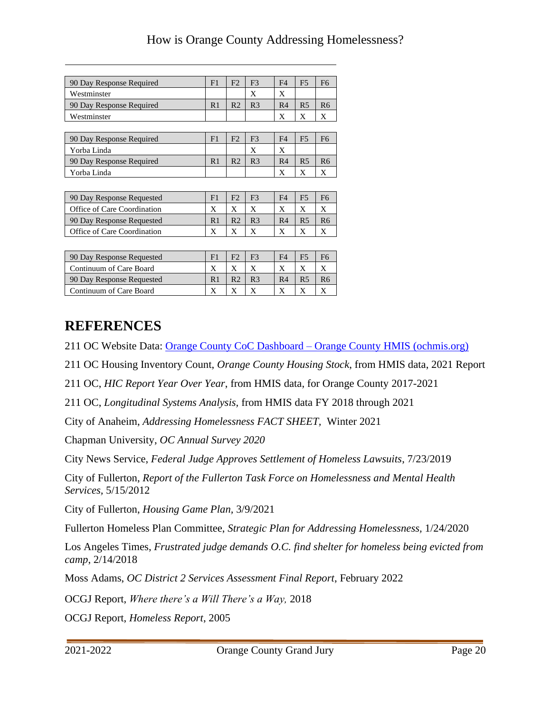| 90 Day Response Required  | F1             | F <sub>2</sub> | F <sub>3</sub> | F <sub>4</sub> | F <sub>5</sub> | F <sub>6</sub> |
|---------------------------|----------------|----------------|----------------|----------------|----------------|----------------|
| Westminster               |                |                | X              | X              |                |                |
| 90 Day Response Required  | R <sub>1</sub> | R <sub>2</sub> | R <sub>3</sub> | R <sub>4</sub> | R <sub>5</sub> | R <sub>6</sub> |
| Westminster               |                |                |                | X              | X              | X              |
|                           |                |                |                |                |                |                |
| 90 Day Response Required  | F1             | F <sub>2</sub> | F <sup>3</sup> | F <sub>4</sub> | F <sub>5</sub> | F <sub>6</sub> |
| Yorba Linda               |                |                | X              | X              |                |                |
| 90 Day Response Required  | R <sub>1</sub> | R <sub>2</sub> | R <sub>3</sub> | R <sub>4</sub> | R <sub>5</sub> | R <sub>6</sub> |
| Yorba Linda               |                |                |                | Χ              | X              | X              |
|                           |                |                |                |                |                |                |
| 90 Day Response Requested | F1             | F <sub>2</sub> | F <sub>3</sub> | F <sub>4</sub> | F <sub>5</sub> | F6             |

| 90 Day Response Requested   |  |                | F4             |    |
|-----------------------------|--|----------------|----------------|----|
| Office of Care Coordination |  |                |                |    |
| 90 Day Response Requested   |  | R <sub>3</sub> | R <sub>4</sub> | R6 |
| Office of Care Coordination |  |                |                |    |

| 90 Day Response Requested | F <sub>i</sub> |  | F4             |  |
|---------------------------|----------------|--|----------------|--|
| Continuum of Care Board   |                |  |                |  |
| 90 Day Response Requested |                |  | R <sub>4</sub> |  |
| Continuum of Care Board   |                |  |                |  |

### <span id="page-21-0"></span>**REFERENCES**

211 OC Website Data: Orange County CoC Dashboard – [Orange County HMIS \(ochmis.org\)](http://ochmis.org/orange-county-coc-dashboard-2/)

211 OC Housing Inventory Count, *Orange County Housing Stock*, from HMIS data, 2021 Report

211 OC, *HIC Report Year Over Year*, from HMIS data, for Orange County 2017-2021

211 OC, *Longitudinal Systems Analysis,* from HMIS data FY 2018 through 2021

City of Anaheim, *Addressing Homelessness FACT SHEET,* Winter 2021

Chapman University, *OC Annual Survey 2020*

City News Service, *Federal Judge Approves Settlement of Homeless Lawsuits*, 7/23/2019

City of Fullerton, *Report of the Fullerton Task Force on Homelessness and Mental Health Services,* 5/15/2012

City of Fullerton, *Housing Game Plan,* 3/9/2021

Fullerton Homeless Plan Committee, *Strategic Plan for Addressing Homelessness,* 1/24/2020

Los Angeles Times, *Frustrated judge demands O.C. find shelter for homeless being evicted from camp*, 2/14/2018

Moss Adams, *OC District 2 Services Assessment Final Report*, February 2022

OCGJ Report, *Where there's a Will There's a Way,* 2018

OCGJ Report, *Homeless Report*, 2005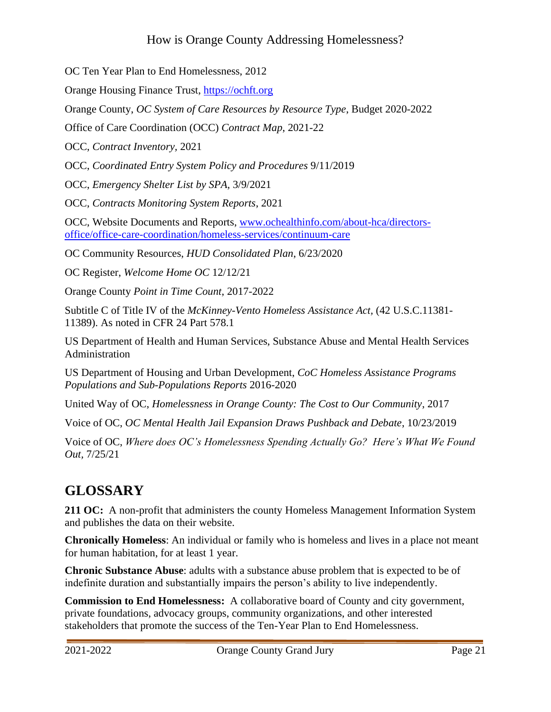OC Ten Year Plan to End Homelessness, 2012

Orange Housing Finance Trust, [https://ochft.org](https://ochft.org/)

Orange County, *OC System of Care Resources by Resource Type*, Budget 2020-2022

Office of Care Coordination (OCC) *Contract Map*, 2021-22

OCC, *Contract Inventory,* 2021

OCC, *Coordinated Entry System Policy and Procedures* 9/11/2019

OCC, *Emergency Shelter List by SPA,* 3/9/2021

OCC, *Contracts Monitoring System Reports*, 2021

OCC, Website Documents and Reports, [www.ochealthinfo.com/about-hca/directors](http://www.ochealthinfo.com/about-hca/directors-office/office-care-coordination/homeless-services/continuum-care)[office/office-care-coordination/homeless-services/continuum-care](http://www.ochealthinfo.com/about-hca/directors-office/office-care-coordination/homeless-services/continuum-care)

OC Community Resources, *HUD Consolidated Plan*, 6/23/2020

OC Register, *Welcome Home OC* 12/12/21

Orange County *Point in Time Count*, 2017-2022

Subtitle C of Title IV of the *McKinney-Vento Homeless Assistance Act,* (42 U.S.C.11381- 11389). As noted in CFR 24 Part 578.1

US Department of Health and Human Services, Substance Abuse and Mental Health Services Administration

US Department of Housing and Urban Development, *CoC Homeless Assistance Programs Populations and Sub-Populations Reports* 2016-2020

United Way of OC, *Homelessness in Orange County: The Cost to Our Community*, 2017

Voice of OC, *OC Mental Health Jail Expansion Draws Pushback and Debate*, 10/23/2019

Voice of OC, *Where does OC's Homelessness Spending Actually Go? Here's What We Found Out,* 7/25/21

# <span id="page-22-0"></span>**GLOSSARY**

**211 OC:** A non-profit that administers the county Homeless Management Information System and publishes the data on their website.

**Chronically Homeless**: An individual or family who is homeless and lives in a place not meant for human habitation, for at least 1 year.

**Chronic Substance Abuse**: adults with a substance abuse problem that is expected to be of indefinite duration and substantially impairs the person's ability to live independently.

**Commission to End Homelessness:** A collaborative board of County and city government, private foundations, advocacy groups, community organizations, and other interested stakeholders that promote the success of the Ten-Year Plan to End Homelessness.